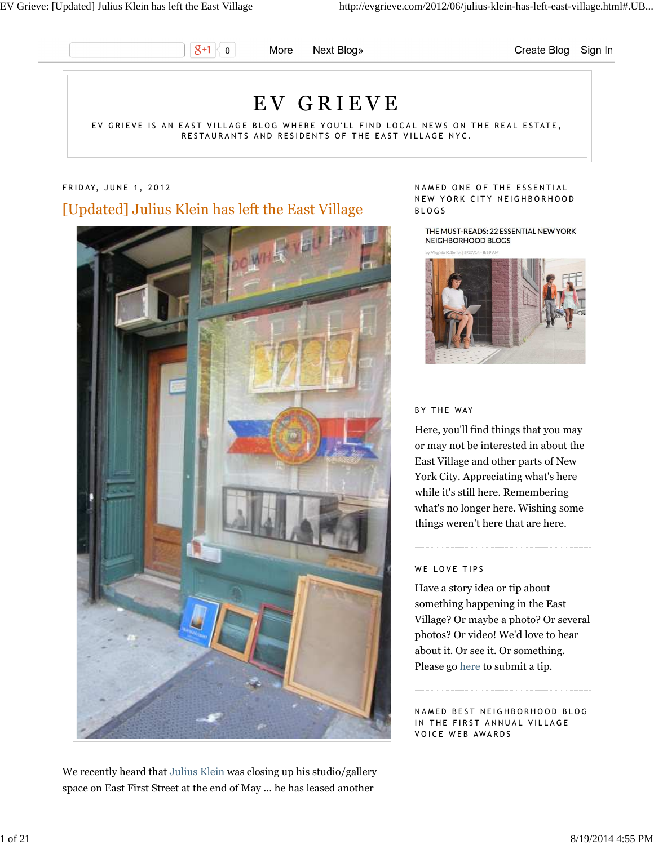

More Next Blog» Create Blog Sign In

# E V G R I E V E

EV GRIEVE IS AN EAST VILLAGE BLOG WHERE YOU'LL FIND LOCAL NEWS ON THE REAL ESTATE, RESTAURANTS AND RESIDENTS OF THE EAST VILLAGE NYC.

## FRIDAY, JUNE 1, 2012

# [Updated] Julius Klein has left the East Village



We recently heard that Julius Klein was closing up his studio/gallery space on East First Street at the end of May ... he has leased another

#### NAMED ONE OF THE ESSENTIAL NEW YORK CITY NEIGHBORHOOD B L O G S

THE MUST-READS: 22 ESSENTIAL NEW YORK NEIGHBORHOOD BLOGS

**H. 15/27/14, B.50 AM** 



#### BY THE WAY

Here, you'll find things that you may or may not be interested in about the East Village and other parts of New York City. Appreciating what's here while it's still here. Remembering what's no longer here. Wishing some things weren't here that are here.

#### WE LOVE TIPS

Have a story idea or tip about something happening in the East Village? Or maybe a photo? Or several photos? Or video! We'd love to hear about it. Or see it. Or something. Please go here to submit a tip.

NAMED BEST NEIGHBORHOOD BLOG IN THE FIRST ANNUAL VILLAGE VOICE WEB AWARDS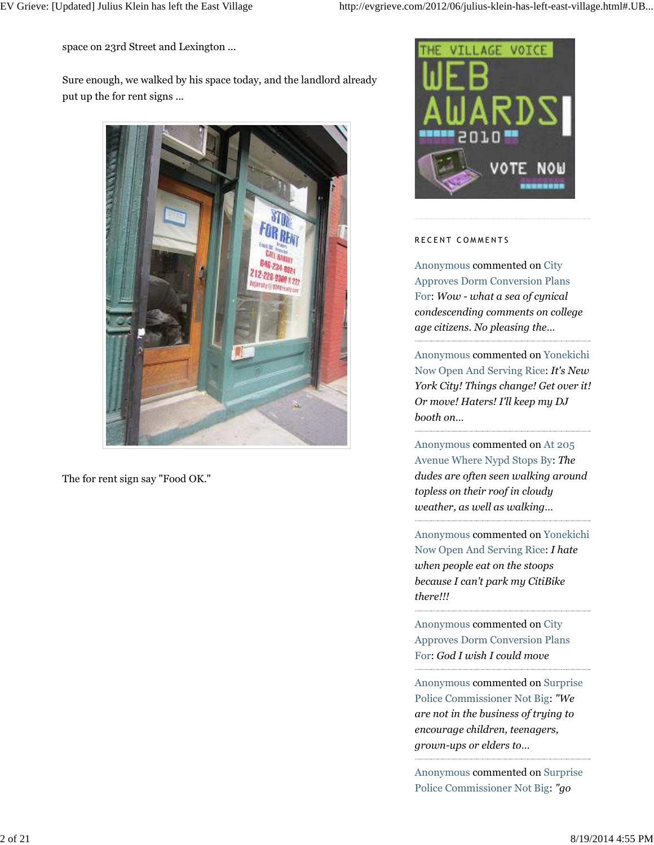space on 23rd Street and Lexington ...

Sure enough, we walked by his space today, and the landlord already put up the for rent signs ...



The for rent sign say "Food OK."



### RECENT COMMENTS

Anonymous commented on City Approves Dorm Conversion Plans For: *Wow - what a sea of cynical condescending comments on college age citizens. No pleasing the…*

Anonymous commented on Yonekichi Now Open And Serving Rice: *It's New York City! Things change! Get over it! Or move! Haters! I'll keep my DJ booth on…*

Anonymous commented on At 205 Avenue Where Nypd Stops By: *The dudes are often seen walking around topless on their roof in cloudy weather, as well as walking…*

Anonymous commented on Yonekichi Now Open And Serving Rice: *I hate when people eat on the stoops because I can't park my CitiBike there!!!*

Anonymous commented on City Approves Dorm Conversion Plans For: *God I wish I could move*

Anonymous commented on Surprise Police Commissioner Not Big: *"We are not in the business of trying to encourage children, teenagers, grown-ups or elders to…*

Anonymous commented on Surprise Police Commissioner Not Big: *"go*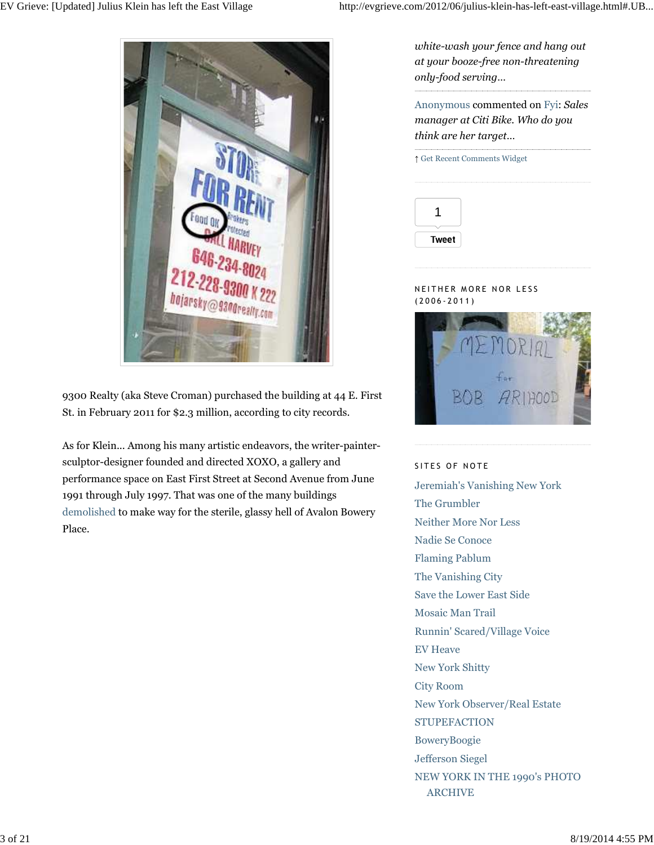

9300 Realty (aka Steve Croman) purchased the building at 44 E. First St. in February 2011 for \$2.3 million, according to city records.

As for Klein... Among his many artistic endeavors, the writer-paintersculptor-designer founded and directed XOXO, a gallery and performance space on East First Street at Second Avenue from June 1991 through July 1997. That was one of the many buildings demolished to make way for the sterile, glassy hell of Avalon Bowery Place.

*white-wash your fence and hang out at your booze-free non-threatening only-food serving…*

Anonymous commented on Fyi: *Sales manager at Citi Bike. Who do you think are her target…*

|              | ↑ Get Recent Comments Widget |  |
|--------------|------------------------------|--|
|              |                              |  |
|              |                              |  |
|              |                              |  |
| <b>Tweet</b> |                              |  |

### N EITHER MORE NOR LESS  $(2006 - 2011)$



### SITES OF NOTE

Jeremiah's Vanishing New York The Grumbler Neither More Nor Less Nadie Se Conoce Flaming Pablum The Vanishing City Save the Lower East Side Mosaic Man Trail Runnin' Scared/Village Voice EV Heave New York Shitty City Room New York Observer/Real Estate **STUPEFACTION** BoweryBoogie Jefferson Siegel NEW YORK IN THE 1990's PHOTO ARCHIVE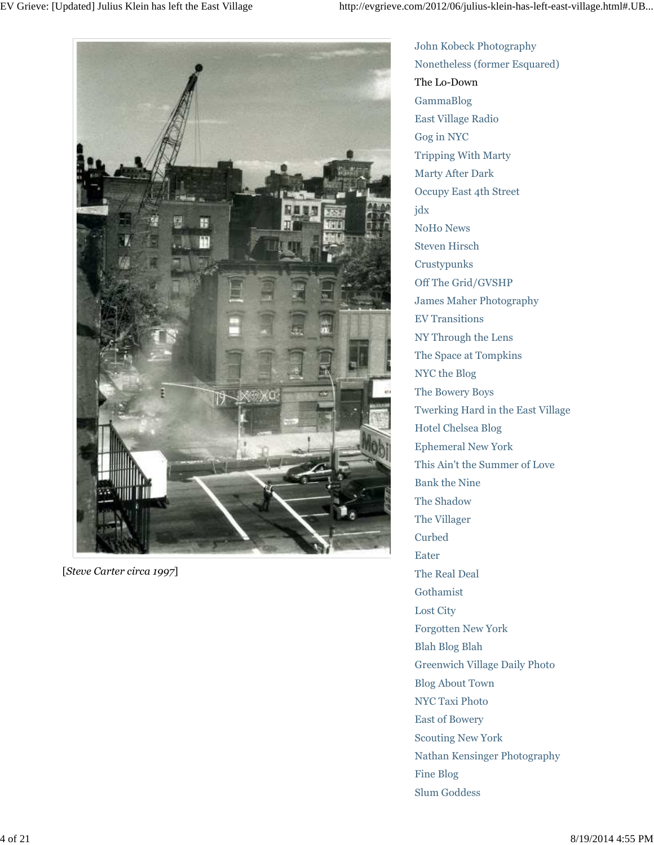

[*Steve Carter circa 1997*]

John Kobeck Photography Nonetheless (former Esquared) The Lo-Down GammaBlog East Village Radio Gog in NYC Tripping With Marty Marty After Dark Occupy East 4th Street jdx NoHo News Steven Hirsch Crustypunks Off The Grid/GVSHP James Maher Photography EV Transitions NY Through the Lens The Space at Tompkins NYC the Blog The Bowery Boys Twerking Hard in the East Village Hotel Chelsea Blog Ephemeral New York This Ain't the Summer of Love Bank the Nine The Shadow The Villager Curbed Eater The Real Deal Gothamist Lost City Forgotten New York Blah Blog Blah Greenwich Village Daily Photo Blog About Town NYC Taxi Photo East of Bowery Scouting New York Nathan Kensinger Photography Fine Blog Slum Goddess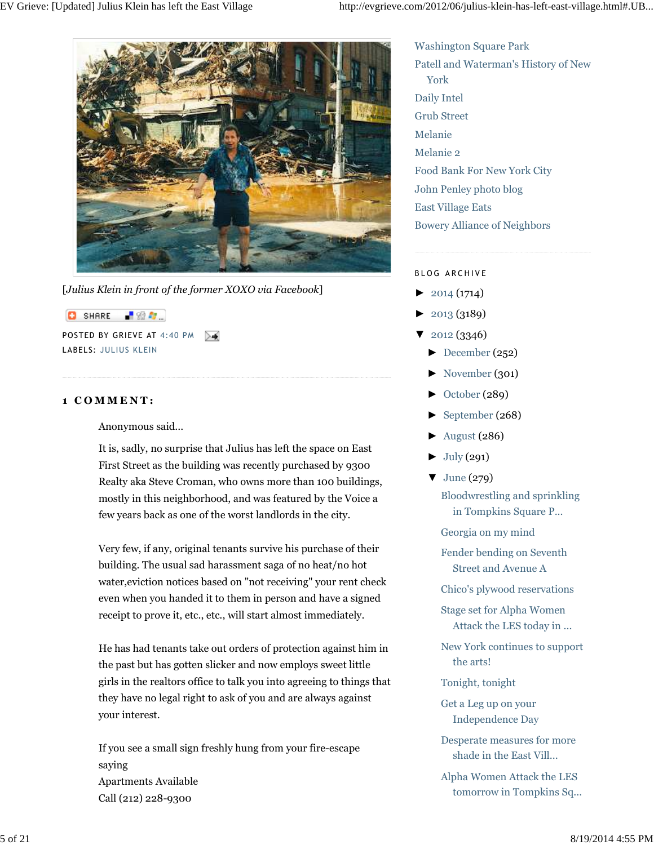

[*Julius Klein in front of the former XOXO via Facebook*]

**C** SHARE 「验費」 POSTED BY GRIEVE AT 4:40 PM ≻≼ LABELS: JULIUS KLEIN

## **1 C O M M E N T :**

Anonymous said...

It is, sadly, no surprise that Julius has left the space on East First Street as the building was recently purchased by 9300 Realty aka Steve Croman, who owns more than 100 buildings, mostly in this neighborhood, and was featured by the Voice a few years back as one of the worst landlords in the city.

Very few, if any, original tenants survive his purchase of their building. The usual sad harassment saga of no heat/no hot water,eviction notices based on "not receiving" your rent check even when you handed it to them in person and have a signed receipt to prove it, etc., etc., will start almost immediately.

He has had tenants take out orders of protection against him in the past but has gotten slicker and now employs sweet little girls in the realtors office to talk you into agreeing to things that they have no legal right to ask of you and are always against your interest.

If you see a small sign freshly hung from your fire-escape saying Apartments Available Call (212) 228-9300

Washington Square Park Patell and Waterman's History of New York Daily Intel Grub Street Melanie Melanie 2 Food Bank For New York City John Penley photo blog East Village Eats Bowery Alliance of Neighbors

## BLOG ARCHIVE

- $\blacktriangleright$  2014 (1714)
- ► 2013 (3189)
- ▼ 2012 (3346)
	- $\blacktriangleright$  December (252)
	- ► November (301)
	- ► October (289)
	- ► September (268)
	- ► August (286)
	- $\blacktriangleright$  July (291)
	- $\blacktriangledown$  June (279) Bloodwrestling and sprinkling in Tompkins Square P...
		- Georgia on my mind

Fender bending on Seventh Street and Avenue A

Chico's plywood reservations

- Stage set for Alpha Women Attack the LES today in ...
- New York continues to support the arts!
- Tonight, tonight
- Get a Leg up on your Independence Day
- Desperate measures for more shade in the East Vill...
- Alpha Women Attack the LES tomorrow in Tompkins Sq...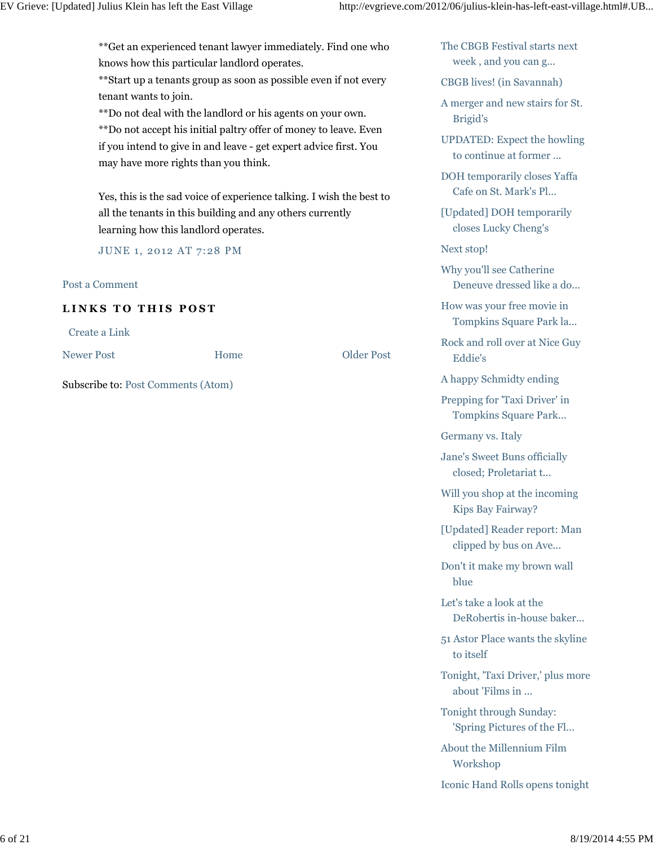\*\*Get an experienced tenant lawyer immediately. Find one who knows how this particular landlord operates.

\*\*Start up a tenants group as soon as possible even if not every tenant wants to join.

\*\*Do not deal with the landlord or his agents on your own.

\*\*Do not accept his initial paltry offer of money to leave. Even if you intend to give in and leave - get expert advice first. You may have more rights than you think.

Yes, this is the sad voice of experience talking. I wish the best to all the tenants in this building and any others currently learning how this landlord operates.

JUNE 1, 2012 AT 7:28 PM

## Post a Comment

## **LINKS TO THIS POST**

Subscribe to: Post Comments (Atom)

Create a Link

Newer Post Older Post

Home

The CBGB Festival starts next week , and you can g...

CBGB lives! (in Savannah)

A merger and new stairs for St. Brigid's

UPDATED: Expect the howling to continue at former ...

DOH temporarily closes Yaffa Cafe on St. Mark's Pl...

[Updated] DOH temporarily closes Lucky Cheng's

Next stop!

Why you'll see Catherine Deneuve dressed like a do...

How was your free movie in Tompkins Square Park la...

Rock and roll over at Nice Guy Eddie's

A happy Schmidty ending

Prepping for 'Taxi Driver' in Tompkins Square Park...

Germany vs. Italy

Jane's Sweet Buns officially closed; Proletariat t...

Will you shop at the incoming Kips Bay Fairway?

[Updated] Reader report: Man clipped by bus on Ave...

Don't it make my brown wall blue

Let's take a look at the DeRobertis in-house baker...

51 Astor Place wants the skyline to itself

Tonight, 'Taxi Driver,' plus more about 'Films in ...

Tonight through Sunday: 'Spring Pictures of the Fl...

About the Millennium Film Workshop

Iconic Hand Rolls opens tonight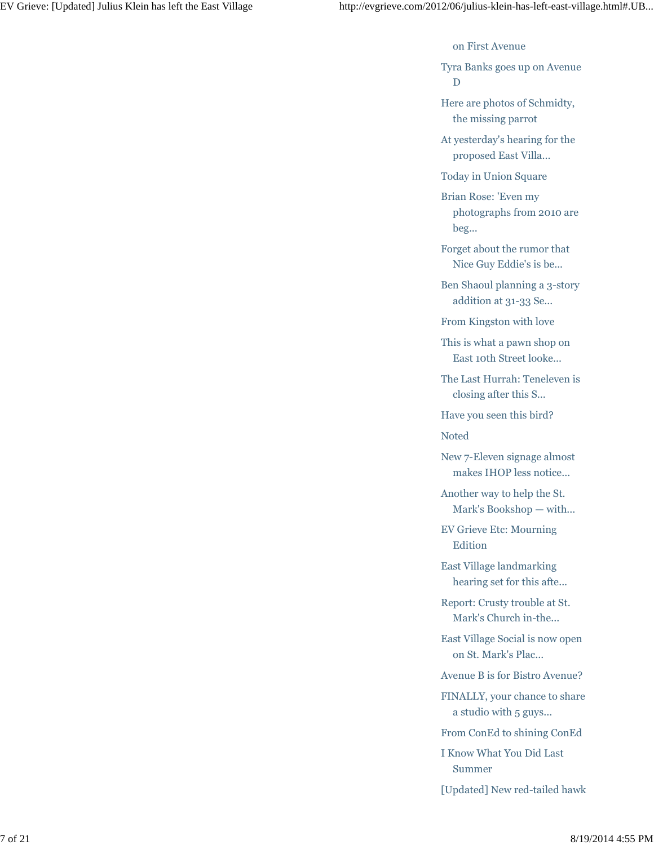on First Avenue

Tyra Banks goes up on Avenue  ${\bf D}$ 

Here are photos of Schmidty, the missing parrot

At yesterday's hearing for the proposed East Villa...

Today in Union Square

Brian Rose: 'Even my photographs from 2010 are beg...

Forget about the rumor that Nice Guy Eddie's is be...

Ben Shaoul planning a 3-story addition at 31-33 Se...

From Kingston with love

This is what a pawn shop on East 10th Street looke...

The Last Hurrah: Teneleven is closing after this S...

Have you seen this bird?

Noted

New 7-Eleven signage almost makes IHOP less notice...

Another way to help the St. Mark's Bookshop — with...

EV Grieve Etc: Mourning Edition

East Village landmarking hearing set for this afte...

Report: Crusty trouble at St. Mark's Church in-the...

East Village Social is now open on St. Mark's Plac...

Avenue B is for Bistro Avenue?

FINALLY, your chance to share a studio with 5 guys...

From ConEd to shining ConEd

I Know What You Did Last Summer

[Updated] New red-tailed hawk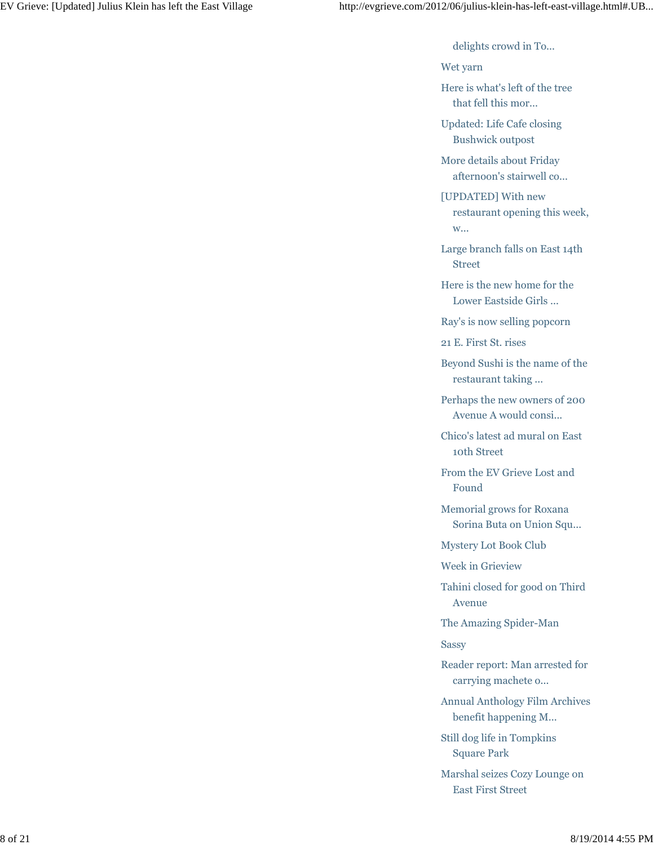delights crowd in To...

Wet yarn

Here is what's left of the tree that fell this mor...

Updated: Life Cafe closing Bushwick outpost

More details about Friday afternoon's stairwell co...

[UPDATED] With new restaurant opening this week, w...

Large branch falls on East 14th Street

Here is the new home for the Lower Eastside Girls ...

Ray's is now selling popcorn

21 E. First St. rises

Beyond Sushi is the name of the restaurant taking ...

Perhaps the new owners of 200 Avenue A would consi...

Chico's latest ad mural on East 10th Street

From the EV Grieve Lost and Found

Memorial grows for Roxana Sorina Buta on Union Squ...

Mystery Lot Book Club

Week in Grieview

Tahini closed for good on Third Avenue

The Amazing Spider-Man

Sassy

Reader report: Man arrested for carrying machete o...

Annual Anthology Film Archives benefit happening M...

Still dog life in Tompkins Square Park

Marshal seizes Cozy Lounge on East First Street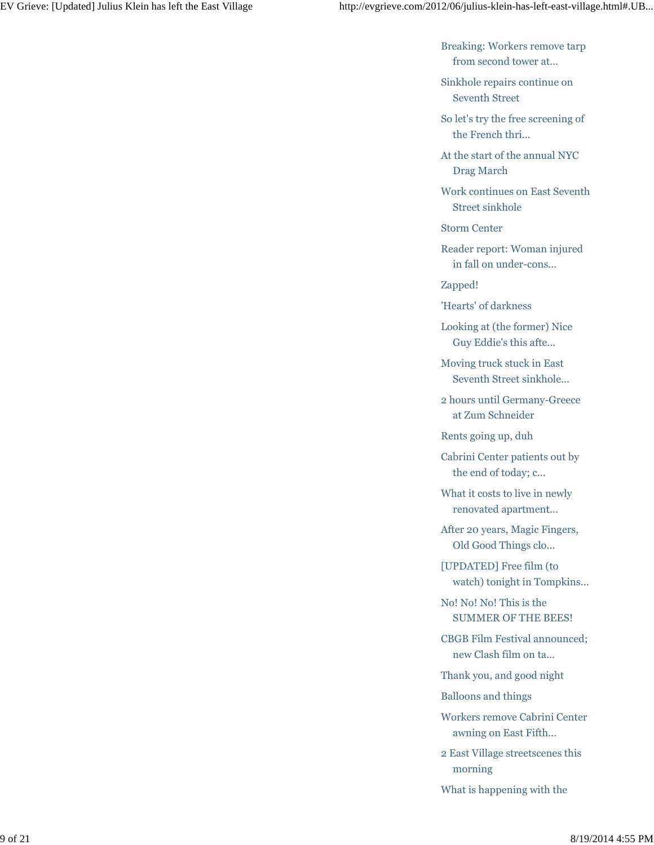Breaking: Workers remove tarp from second tower at...

Sinkhole repairs continue on Seventh Street

So let's try the free screening of the French thri...

At the start of the annual NYC Drag March

Work continues on East Seventh Street sinkhole

Storm Center

Reader report: Woman injured in fall on under-cons...

Zapped!

'Hearts' of darkness

Looking at (the former) Nice Guy Eddie's this afte...

Moving truck stuck in East Seventh Street sinkhole...

2 hours until Germany-Greece at Zum Schneider

Rents going up, duh

Cabrini Center patients out by the end of today; c...

What it costs to live in newly renovated apartment...

After 20 years, Magic Fingers, Old Good Things clo...

[UPDATED] Free film (to watch) tonight in Tompkins...

No! No! No! This is the SUMMER OF THE BEES!

CBGB Film Festival announced; new Clash film on ta...

Thank you, and good night

Balloons and things

Workers remove Cabrini Center awning on East Fifth...

2 East Village streetscenes this morning

What is happening with the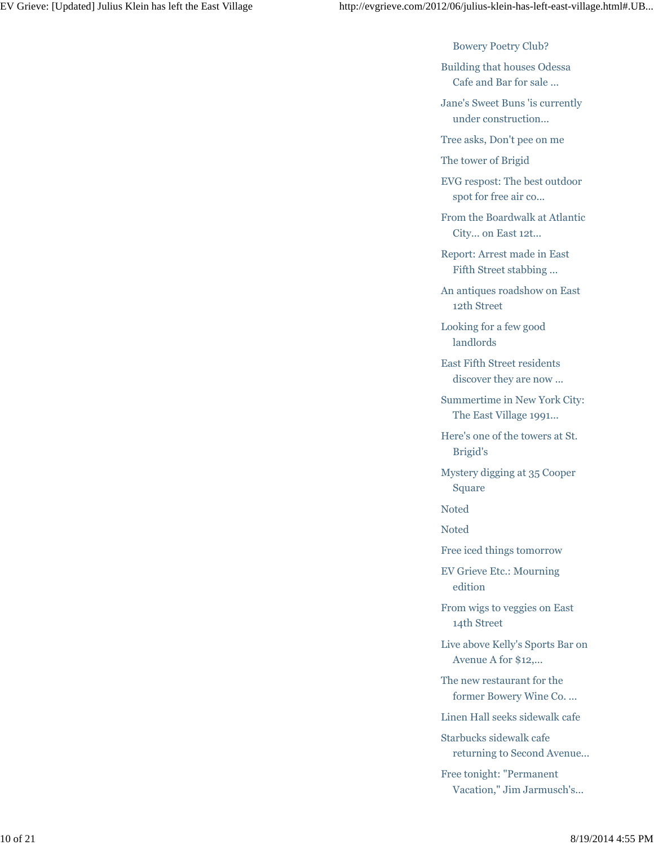Bowery Poetry Club?

Building that houses Odessa Cafe and Bar for sale ...

Jane's Sweet Buns 'is currently under construction...

Tree asks, Don't pee on me

The tower of Brigid

EVG respost: The best outdoor spot for free air co...

From the Boardwalk at Atlantic City... on East 12t...

Report: Arrest made in East Fifth Street stabbing ...

An antiques roadshow on East 12th Street

Looking for a few good landlords

East Fifth Street residents discover they are now ...

Summertime in New York City: The East Village 1991...

Here's one of the towers at St. Brigid's

Mystery digging at 35 Cooper Square

Noted

Noted

Free iced things tomorrow

EV Grieve Etc.: Mourning edition

From wigs to veggies on East 14th Street

Live above Kelly's Sports Bar on Avenue A for \$12,...

The new restaurant for the former Bowery Wine Co. ...

Linen Hall seeks sidewalk cafe

Starbucks sidewalk cafe returning to Second Avenue...

Free tonight: "Permanent Vacation," Jim Jarmusch's...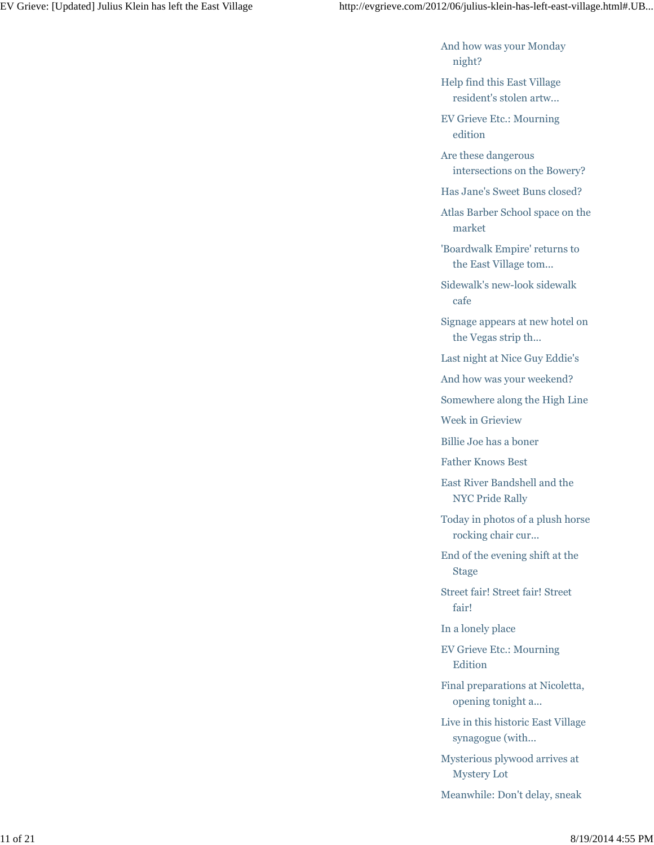And how was your Monday night?

Help find this East Village resident's stolen artw...

EV Grieve Etc.: Mourning edition

Are these dangerous intersections on the Bowery?

Has Jane's Sweet Buns closed?

Atlas Barber School space on the market

'Boardwalk Empire' returns to the East Village tom...

Sidewalk's new-look sidewalk cafe

Signage appears at new hotel on the Vegas strip th...

Last night at Nice Guy Eddie's

And how was your weekend?

Somewhere along the High Line

Week in Grieview

Billie Joe has a boner

Father Knows Best

East River Bandshell and the NYC Pride Rally

Today in photos of a plush horse rocking chair cur...

End of the evening shift at the Stage

Street fair! Street fair! Street fair!

In a lonely place

EV Grieve Etc.: Mourning Edition

Final preparations at Nicoletta, opening tonight a...

Live in this historic East Village synagogue (with...

Mysterious plywood arrives at Mystery Lot

Meanwhile: Don't delay, sneak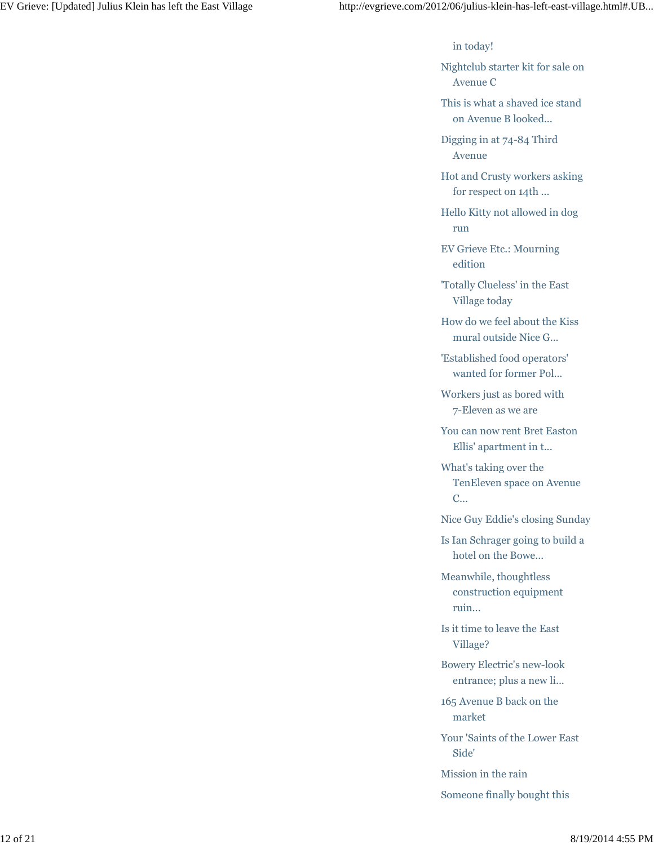in today!

Nightclub starter kit for sale on Avenue C

This is what a shaved ice stand on Avenue B looked...

Digging in at 74-84 Third Avenue

Hot and Crusty workers asking for respect on 14th ...

Hello Kitty not allowed in dog run

EV Grieve Etc.: Mourning edition

'Totally Clueless' in the East Village today

How do we feel about the Kiss mural outside Nice G...

'Established food operators' wanted for former Pol...

Workers just as bored with 7-Eleven as we are

You can now rent Bret Easton Ellis' apartment in t...

What's taking over the TenEleven space on Avenue C...

Nice Guy Eddie's closing Sunday

Is Ian Schrager going to build a hotel on the Bowe...

Meanwhile, thoughtless construction equipment ruin...

Is it time to leave the East Village?

Bowery Electric's new-look entrance; plus a new li...

165 Avenue B back on the market

Your 'Saints of the Lower East Side'

Mission in the rain

Someone finally bought this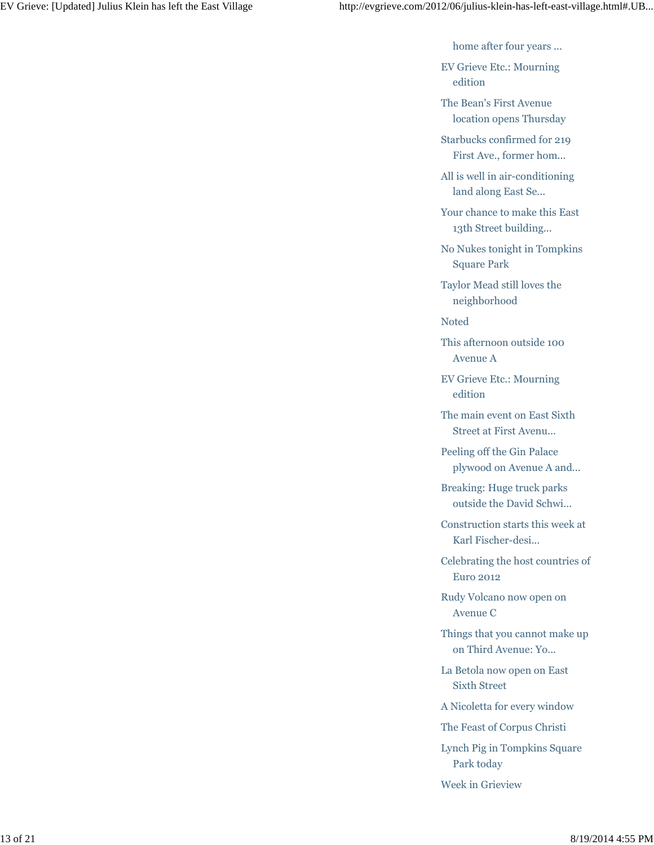home after four years ...

EV Grieve Etc.: Mourning edition

The Bean's First Avenue location opens Thursday

Starbucks confirmed for 219 First Ave., former hom...

All is well in air-conditioning land along East Se...

Your chance to make this East 13th Street building...

No Nukes tonight in Tompkins Square Park

Taylor Mead still loves the neighborhood

Noted

This afternoon outside 100 Avenue A

EV Grieve Etc.: Mourning edition

The main event on East Sixth Street at First Avenu...

Peeling off the Gin Palace plywood on Avenue A and...

Breaking: Huge truck parks outside the David Schwi...

Construction starts this week at Karl Fischer-desi...

Celebrating the host countries of Euro 2012

Rudy Volcano now open on Avenue C

Things that you cannot make up on Third Avenue: Yo...

La Betola now open on East Sixth Street

A Nicoletta for every window

The Feast of Corpus Christi

Lynch Pig in Tompkins Square Park today

Week in Grieview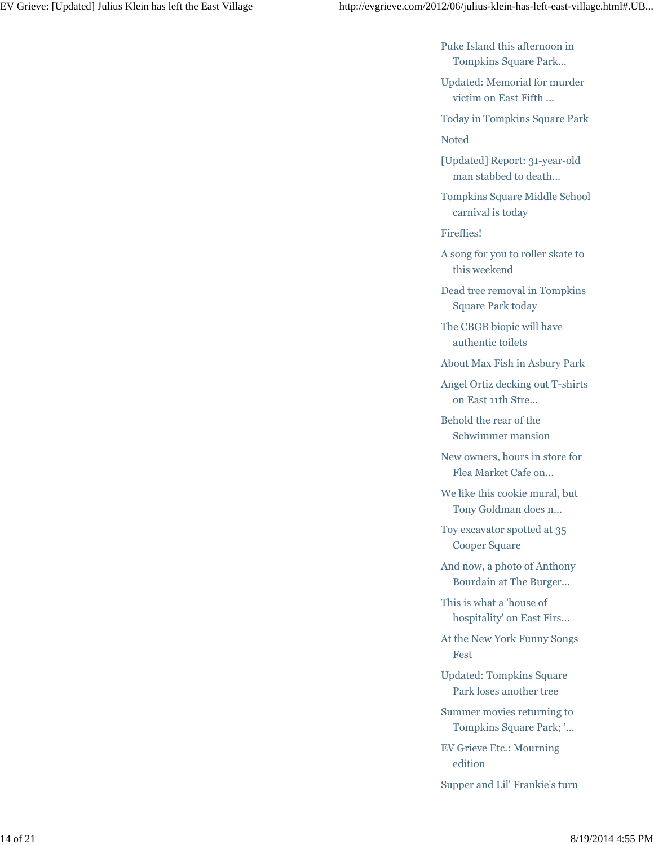Puke Island this afternoon in Tompkins Square Park...

Updated: Memorial for murder victim on East Fifth ...

Today in Tompkins Square Park

Noted

[Updated] Report: 31-year-old man stabbed to death...

Tompkins Square Middle School carnival is today

Fireflies!

A song for you to roller skate to this weekend

Dead tree removal in Tompkins Square Park today

The CBGB biopic will have authentic toilets

About Max Fish in Asbury Park

Angel Ortiz decking out T-shirts on East 11th Stre...

Behold the rear of the Schwimmer mansion

New owners, hours in store for Flea Market Cafe on...

We like this cookie mural, but Tony Goldman does n...

Toy excavator spotted at 35 Cooper Square

And now, a photo of Anthony Bourdain at The Burger...

This is what a 'house of hospitality' on East Firs...

At the New York Funny Songs Fest

Updated: Tompkins Square Park loses another tree

Summer movies returning to Tompkins Square Park; '...

EV Grieve Etc.: Mourning edition

Supper and Lil' Frankie's turn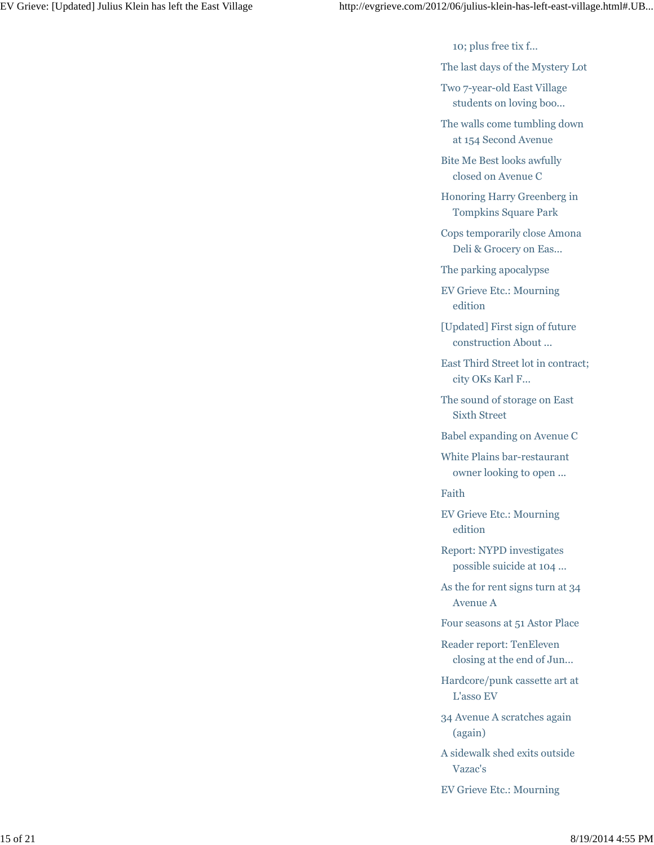10; plus free tix f...

The last days of the Mystery Lot

Two 7-year-old East Village students on loving boo...

The walls come tumbling down at 154 Second Avenue

Bite Me Best looks awfully closed on Avenue C

Honoring Harry Greenberg in Tompkins Square Park

Cops temporarily close Amona Deli & Grocery on Eas...

The parking apocalypse

EV Grieve Etc.: Mourning edition

[Updated] First sign of future construction About ...

East Third Street lot in contract; city OKs Karl F...

The sound of storage on East Sixth Street

Babel expanding on Avenue C

White Plains bar-restaurant owner looking to open ...

Faith

EV Grieve Etc.: Mourning edition

Report: NYPD investigates possible suicide at 104 ...

As the for rent signs turn at 34 Avenue A

Four seasons at 51 Astor Place

Reader report: TenEleven closing at the end of Jun...

Hardcore/punk cassette art at L'asso EV

34 Avenue A scratches again (again)

A sidewalk shed exits outside Vazac's

EV Grieve Etc.: Mourning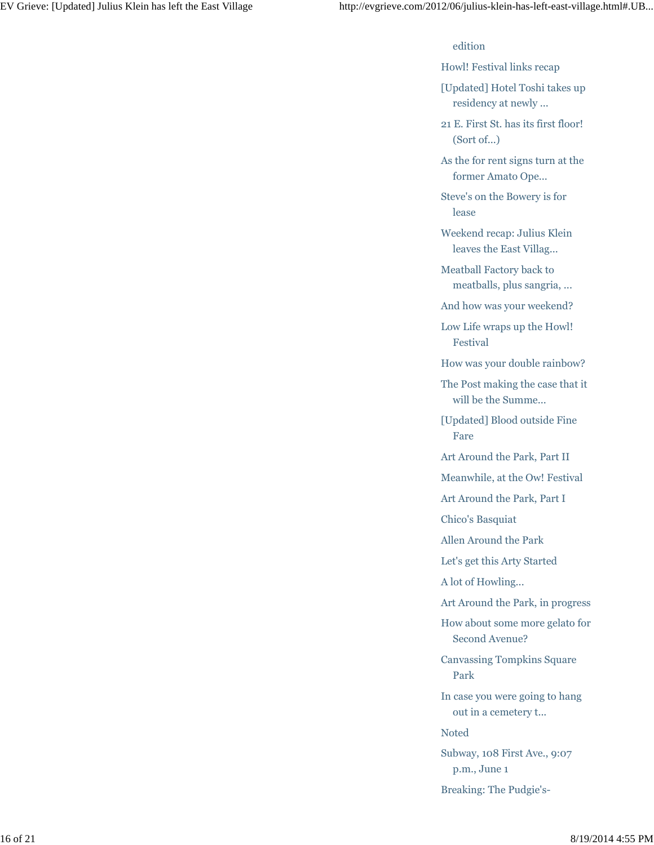## edition

Howl! Festival links recap

[Updated] Hotel Toshi takes up residency at newly ...

21 E. First St. has its first floor! (Sort of...)

As the for rent signs turn at the former Amato Ope...

Steve's on the Bowery is for lease

Weekend recap: Julius Klein leaves the East Villag...

Meatball Factory back to meatballs, plus sangria, ...

And how was your weekend?

Low Life wraps up the Howl! Festival

How was your double rainbow?

The Post making the case that it will be the Summe...

[Updated] Blood outside Fine Fare

Art Around the Park, Part II

Meanwhile, at the Ow! Festival

Art Around the Park, Part I

Chico's Basquiat

Allen Around the Park

Let's get this Arty Started

A lot of Howling...

Art Around the Park, in progress

How about some more gelato for Second Avenue?

Canvassing Tompkins Square Park

In case you were going to hang out in a cemetery t...

Noted

Subway, 108 First Ave., 9:07 p.m., June 1

Breaking: The Pudgie's-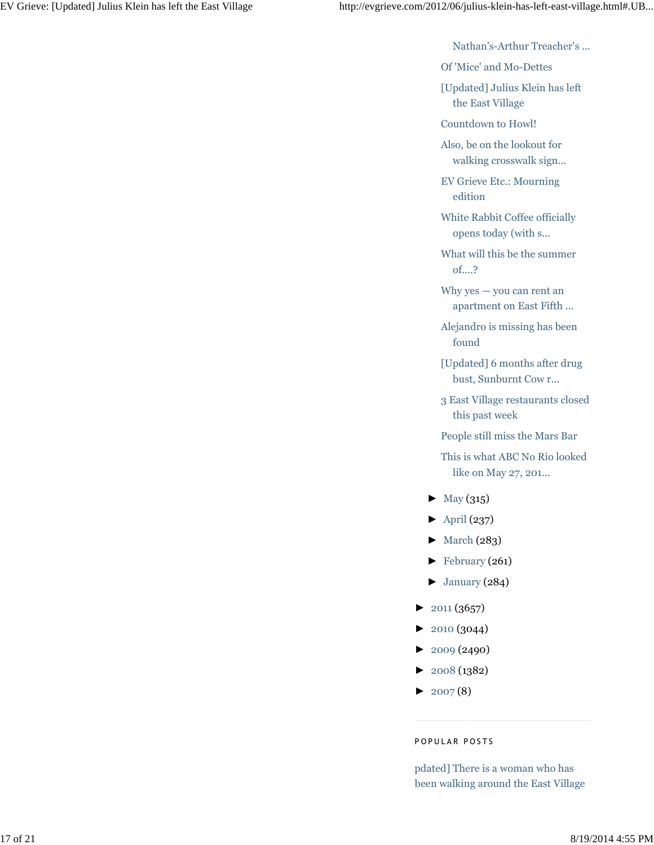Nathan's-Arthur Treacher's ...

Of 'Mice' and Mo-Dettes

[Updated] Julius Klein has left the East Village

Countdown to Howl!

Also, be on the lookout for walking crosswalk sign...

EV Grieve Etc.: Mourning edition

White Rabbit Coffee officially opens today (with s...

What will this be the summer of....?

Why yes — you can rent an apartment on East Fifth ...

Alejandro is missing has been found

[Updated] 6 months after drug bust, Sunburnt Cow r...

3 East Village restaurants closed this past week

People still miss the Mars Bar

This is what ABC No Rio looked like on May 27, 201...

- $\blacktriangleright$  May (315)
- $\blacktriangleright$  April (237)
- ► March (283)
- ► February (261)
- $\blacktriangleright$  January (284)
- $\blacktriangleright$  2011 (3657)
- ► 2010 (3044)
- ► 2009 (2490)
- ► 2008 (1382)
- $\blacktriangleright$  2007(8)

### P O P U L A R P O S T S

pdated] There is a woman who has been walking around the East Village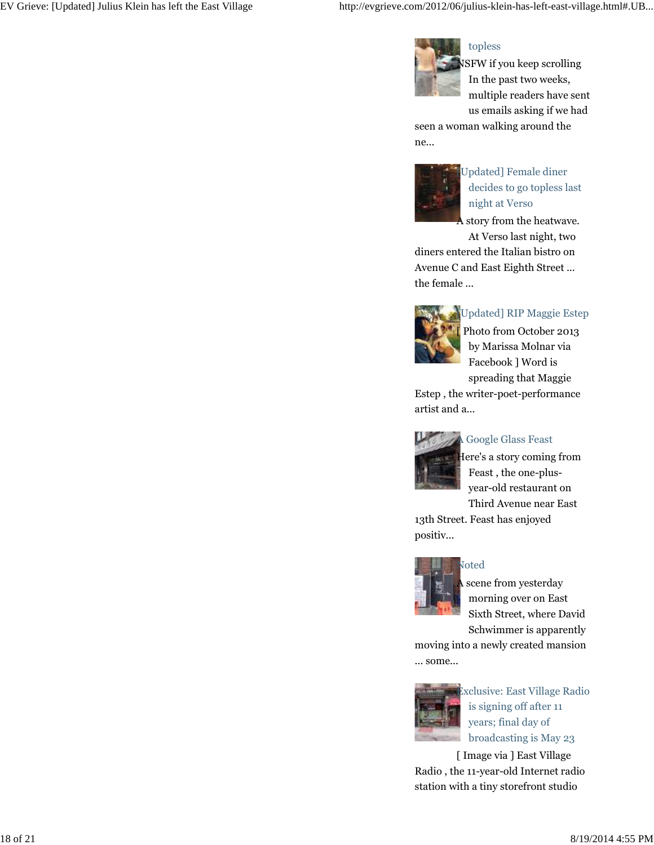

topless

SFW if you keep scrolling In the past two weeks, multiple readers have sent us emails asking if we had

seen a woman walking around the ne...



[Updated] Female diner decides to go topless last night at Verso

story from the heatwave.

At Verso last night, two diners entered the Italian bistro on Avenue C and East Eighth Street ... the female ...



Updated] RIP Maggie Estep

[ Photo from October 2013 by Marissa Molnar via Facebook ] Word is spreading that Maggie

Estep , the writer-poet-performance artist and a...



## A Google Glass Feast

Here's a story coming from Feast , the one-plusyear-old restaurant on Third Avenue near East

13th Street. Feast has enjoyed positiv...



## Noted

scene from yesterday morning over on East Sixth Street, where David Schwimmer is apparently

moving into a newly created mansion ... some...



Exclusive: East Village Radio is signing off after 11 years; final day of broadcasting is May 23

[ Image via ] East Village Radio , the 11-year-old Internet radio station with a tiny storefront studio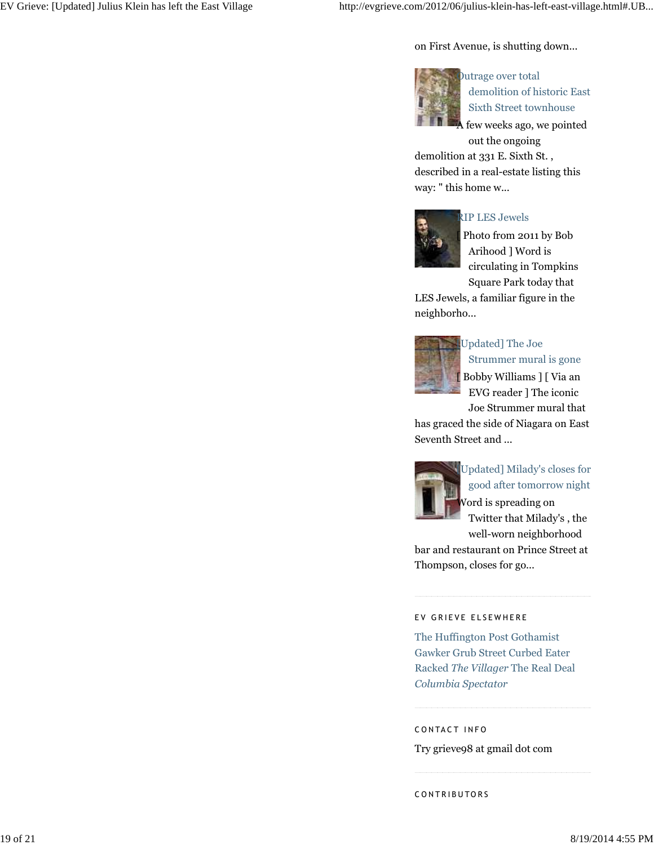on First Avenue, is shutting down...



Outrage over total demolition of historic East Sixth Street townhouse

few weeks ago, we pointed

out the ongoing demolition at 331 E. Sixth St. , described in a real-estate listing this way: " this home w...



## RIP LES Jewels

Photo from 2011 by Bob Arihood ] Word is circulating in Tompkins Square Park today that

LES Jewels, a familiar figure in the neighborho...



## Updated] The Joe Strummer mural is gone [ Bobby Williams ] [ Via an EVG reader ] The iconic

Joe Strummer mural that

has graced the side of Niagara on East Seventh Street and ...



[Updated] Milady's closes for good after tomorrow night Word is spreading on Twitter that Milady's , the

well-worn neighborhood bar and restaurant on Prince Street at Thompson, closes for go...

### EV GRIEVE ELSEWHERE

The Huffington Post Gothamist Gawker Grub Street Curbed Eater Racked *The Villager* The Real Deal *Columbia Spectator*

CONTACT INFO

Try grieve98 at gmail dot com

CONTRIBUTORS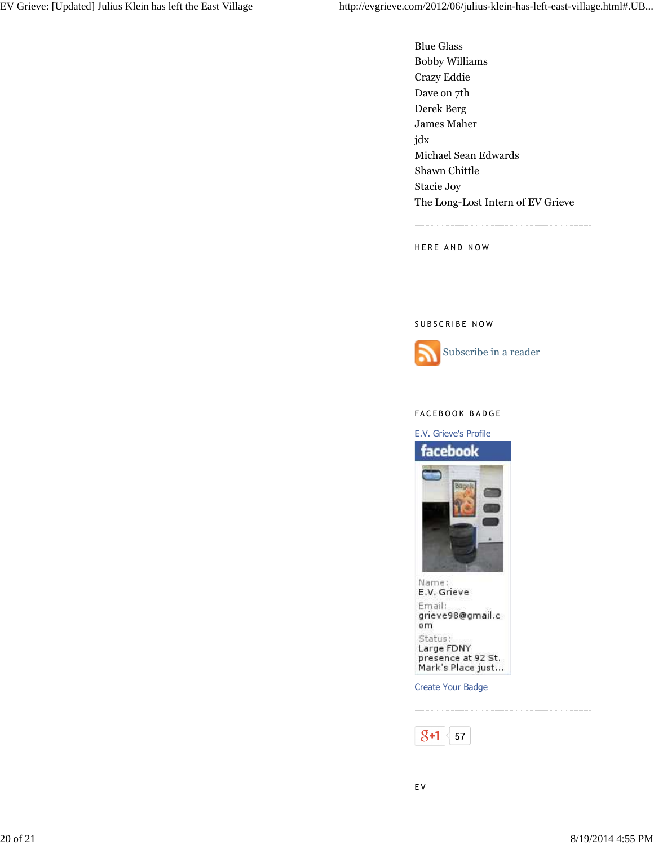Blue Glass Bobby Williams Crazy Eddie Dave on 7th Derek Berg James Maher jdx Michael Sean Edwards Shawn Chittle Stacie Joy The Long-Lost Intern of EV Grieve

HERE AND NOW

#### SUBSCRIBE NOW



#### FACEBOOK BADGE

E.V. Grieve's Profile facebook Name: E.V. Grieve Email: grieve98@gmail.c om Status: Large FDNY presence at 92 St.<br>Mark's Place just...

Create Your Badge

 $8+1$  $57\,$ 

E V